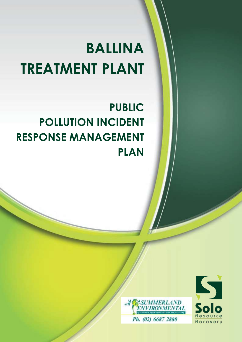# **BALLINA TREATMENT PLANT**

# **PUBLIC POLLUTION INCIDENT RESPONSE MANAGEMENT PLAN**



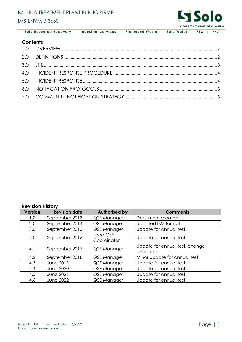

 **Solo Resource Recovery** | **Industrial Services** | **Richmond Waste** | **Solo Water** | **RRS** | **PHA**

#### **Contents**

#### **Revision History**

| <b>Version</b> | <b>Revision date</b> | <b>Authorised by</b>    | <b>Comments</b>                               |
|----------------|----------------------|-------------------------|-----------------------------------------------|
| 1.0            | September 2013       | QSE Manager             | Document created                              |
| 2.0            | September 2014       | QSE Manager             | Updated IMS format                            |
| 3.0            | September 2015       | QSE Manager             | Update for annual test                        |
| 4.0            | September 2016       | Lead QSE<br>Coordinator | Update for annual test                        |
| 4.1            | September 2017       | QSE Manager             | Update for annual test, change<br>definitions |
| 4.2            | September 2018       | QSE Manager             | Minor update for annual test                  |
| 4.3            | <b>June 2019</b>     | QSE Manager             | Update for annual test                        |
| 4.4            | <b>June 2020</b>     | QSE Manager             | Update for annual test                        |
| 4.5            | <b>June 2021</b>     | QSE Manager             | Update for annual test                        |
| 4.6            | <b>June 2022</b>     | QSE Manager             | Update for annual test                        |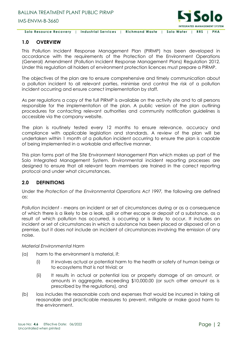

 **Solo Resource Recovery** | **Industrial Services** | **Richmond Waste** | **Solo Water** | **RRS** | **PHA**

#### <span id="page-2-0"></span>**1.0 OVERVIEW**

This Pollution Incident Response Management Plan (PIRMP) has been developed in accordance with the requirements of the Protection of the Environment Operations (General) Amendment (Pollution Incident Response Management Plans) Regulation 2012. Under this regulation all holders of environment protection licences must prepare a PIRMP.

The objectives of the plan are to ensure comprehensive and timely communication about a pollution incident to all relevant parties, minimise and control the risk of a pollution incident occurring and ensure correct implementation by staff.

As per regulations a copy of the full PIRMP is available on the activity site and to all persons responsible for the implementation of the plan. A public version of the plan outlining procedures for contacting relevant authorities and community notification guidelines is accessible via the company website.

The plan is routinely tested every 12 months to ensure relevance, accuracy and compliance with applicable legislation and standards. A review of the plan will be undertaken within 1 month of a pollution incident occurring to ensure the plan is capable of being implemented in a workable and effective manner.

This plan forms part of the Site Environment Management Plan which makes up part of the Solo Integrated Management System. Environmental incident reporting processes are designed to ensure that all relevant team members are trained in the correct reporting protocol and under what circumstances.

#### <span id="page-2-1"></span>**2.0 DEFINITIONS**

Under the *Protection of the Environmental Operations Act 1997,* the following are defined as:

*Pollution Incident* - means an incident or set of circumstances during or as a consequence of which there is a likely to be a leak, spill or other escape or deposit of a substance, as a result of which pollution has occurred, is occurring or is likely to occur. It includes an incident or set of circumstances in which a substance has been placed or disposed of on a premise, but it does not include an incident of circumstances involving the emission of any noise.

#### *Material Environmental Harm*

- (a) harm to the environment is material, if:
	- (i) It involves actual or potential harm to the health or safety of human beings or to ecosystems that is not trivial; or
	- (ii) It results in actual or potential loss or property damage of an amount, or amounts in aggregate, exceeding \$10,000.00 (or such other amount as is prescribed by the regulations), and
- (b) loss includes the reasonable costs and expenses that would be incurred in taking all reasonable and practicable measures to prevent, mitigate or make good harm to the environment.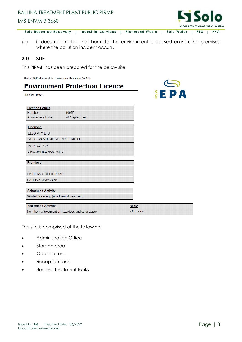## BALLINA TREATMENT PLANT PUBLIC PIRMP IMS-ENVM-B-3660



EPA

 $\frac{3}{2}$ 

 **Solo Resource Recovery** | **Industrial Services** | **Richmond Waste** | **Solo Water** | **RRS** | **PHA**

(c) it does not matter that harm to the environment is caused only in the premises where the pollution incident occurs.

#### <span id="page-3-0"></span>**3.0 SITE**

This PIRMP has been prepared for the below site.

Section 55 Protection of the Environment Operations Act 1997

### **Environment Protection Licence**

Licence - 10055

| <b>Licence Details</b>                             |                 |              |
|----------------------------------------------------|-----------------|--------------|
| Number:                                            | 10055           |              |
| <b>Anniversary Date:</b>                           | 28-September    |              |
|                                                    |                 |              |
| Licensee                                           |                 |              |
| <b>ELJO PTY LTD</b>                                |                 |              |
| SOLO WASTE AUST. PTY. LIMITED                      |                 |              |
| <b>PO BOX 1427</b>                                 |                 |              |
| KINGSCLIFF NSW 2487                                |                 |              |
|                                                    |                 |              |
| <b>Premises</b>                                    |                 |              |
|                                                    |                 |              |
| <b>FISHERY CREEK ROAD</b>                          |                 |              |
| <b>BALLINA NSW 2478</b>                            |                 |              |
|                                                    |                 |              |
| <b>Scheduled Activity</b>                          |                 |              |
| Waste Processing (non-thermal treatment)           |                 |              |
| <b>Fee Based Activity</b>                          |                 |              |
|                                                    |                 | <b>Scale</b> |
| Non-thermal treatment of hazardous and other waste | $> 0$ T treated |              |

The site is comprised of the following:

- Administration Office
- Storage area
- Grease press
- Reception tank
- Bunded treatment tanks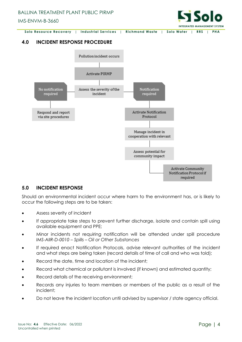



#### <span id="page-4-0"></span>**4.0 INCIDENT RESPONSE PROCEDURE**



#### <span id="page-4-1"></span>**5.0 INCIDENT RESPONSE**

Should an environmental incident occur where harm to the environment has, or is likely to occur the following steps are to be taken:

- Assess severity of incident
- If appropriate take steps to prevent further discharge, isolate and contain spill using available equipment and PPE;
- Minor incidents not requiring notification will be attended under spill procedure *IMS-AIIR-D-0010 – Spills – Oil or Other Substances*
- If required enact Notification Protocols, advise relevant authorities of the incident and what steps are being taken (record details of time of call and who was told);
- Record the date, time and location of the incident;
- Record what chemical or pollutant is involved (if known) and estimated quantity;
- Record details of the receiving environment;
- Records any injuries to team members or members of the public as a result of the incident;
- Do not leave the incident location until advised by supervisor / state agency official.